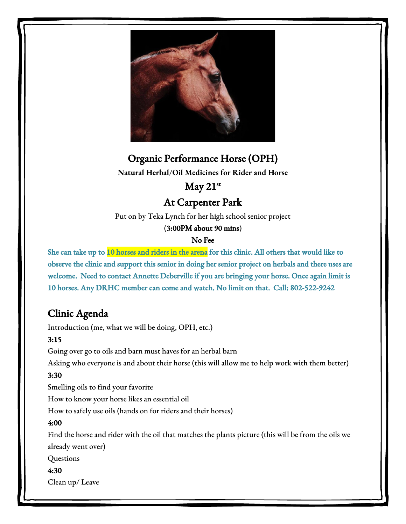

# Organic Performance Horse (OPH)

**Natural Herbal/Oil Medicines for Rider and Horse**

# $May 21<sup>st</sup>$

# At Carpenter Park

Put on by Teka Lynch for her high school senior project

#### (3:00PM about 90 mins)

## No Fee

She can take up to 10 horses and riders in the arena for this clinic. All others that would like to observe the clinic and support this senior in doing her senior project on herbals and there uses are welcome. Need to contact Annette Deberville if you are bringing your horse. Once again limit is 10 horses. Any DRHC member can come and watch. No limit on that. Call: 802-522-9242

# Clinic Agenda

Introduction (me, what we will be doing, OPH, etc.)

## 3:15

Going over go to oils and barn must haves for an herbal barn

Asking who everyone is and about their horse (this will allow me to help work with them better)

## 3:30

Smelling oils to find your favorite

How to know your horse likes an essential oil

How to safely use oils (hands on for riders and their horses)

## 4:00

Find the horse and rider with the oil that matches the plants picture (this will be from the oils we already went over)

Questions

## 4:30

Clean up/ Leave